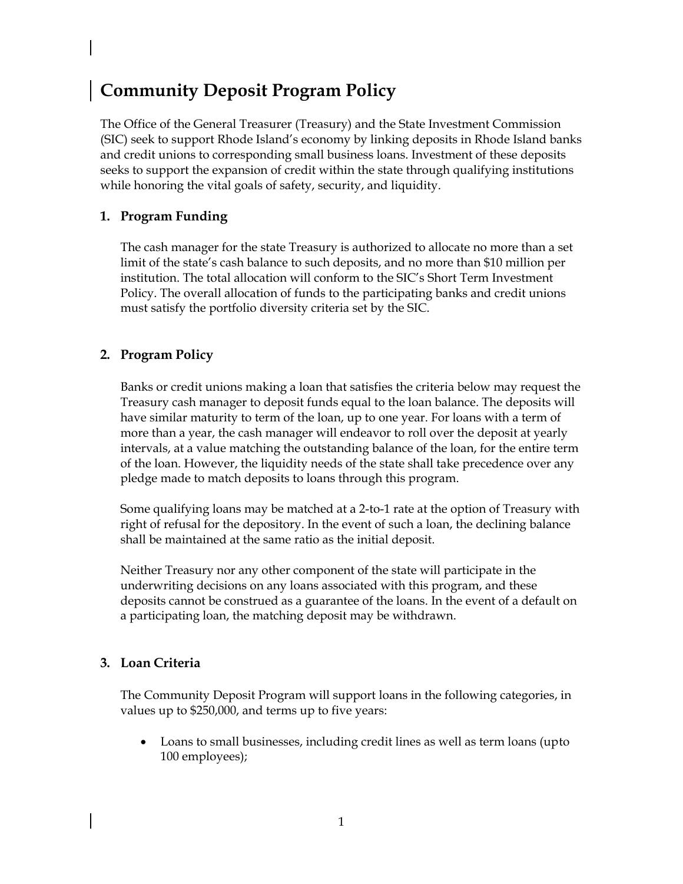# **Community Deposit Program Policy**

The Office of the General Treasurer (Treasury) and the State Investment Commission (SIC) seek to support Rhode Island's economy by linking deposits in Rhode Island banks and credit unions to corresponding small business loans. Investment of these deposits seeks to support the expansion of credit within the state through qualifying institutions while honoring the vital goals of safety, security, and liquidity.

## **1. Program Funding**

The cash manager for the state Treasury is authorized to allocate no more than a set limit of the state's cash balance to such deposits, and no more than \$10 million per institution. The total allocation will conform to the SIC's Short Term Investment Policy. The overall allocation of funds to the participating banks and credit unions must satisfy the portfolio diversity criteria set by the SIC.

#### **2. Program Policy**

Banks or credit unions making a loan that satisfies the criteria below may request the Treasury cash manager to deposit funds equal to the loan balance. The deposits will have similar maturity to term of the loan, up to one year. For loans with a term of more than a year, the cash manager will endeavor to roll over the deposit at yearly intervals, at a value matching the outstanding balance of the loan, for the entire term of the loan. However, the liquidity needs of the state shall take precedence over any pledge made to match deposits to loans through this program.

Some qualifying loans may be matched at a 2-to-1 rate at the option of Treasury with right of refusal for the depository. In the event of such a loan, the declining balance shall be maintained at the same ratio as the initial deposit.

Neither Treasury nor any other component of the state will participate in the underwriting decisions on any loans associated with this program, and these deposits cannot be construed as a guarantee of the loans. In the event of a default on a participating loan, the matching deposit may be withdrawn.

#### **3. Loan Criteria**

The Community Deposit Program will support loans in the following categories, in values up to \$250,000, and terms up to five years:

• Loans to small businesses, including credit lines as well as term loans (upto 100 employees);